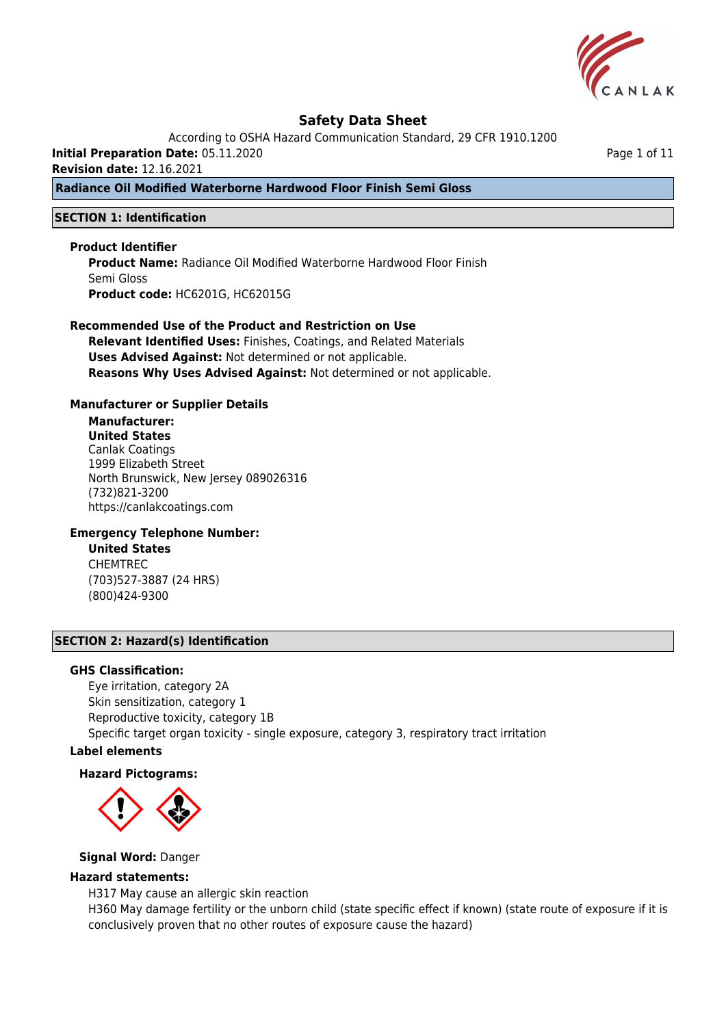

According to OSHA Hazard Communication Standard, 29 CFR 1910.1200

**Initial Preparation Date:** 05.11.2020

**Revision date:** 12.16.2021

**Radiance Oil Modified Waterborne Hardwood Floor Finish Semi Gloss**

### **SECTION 1: Identification**

#### **Product Identifier**

**Product Name:** Radiance Oil Modified Waterborne Hardwood Floor Finish Semi Gloss **Product code:** HC6201G, HC62015G

#### **Recommended Use of the Product and Restriction on Use**

**Relevant Identified Uses:** Finishes, Coatings, and Related Materials **Uses Advised Against:** Not determined or not applicable. **Reasons Why Uses Advised Against:** Not determined or not applicable.

#### **Manufacturer or Supplier Details**

# **Manufacturer:**

**United States** Canlak Coatings 1999 Elizabeth Street North Brunswick, New Jersey 089026316 (732)821-3200 https://canlakcoatings.com

# **Emergency Telephone Number:**

**United States** CHEMTREC (703)527-3887 (24 HRS) (800)424-9300

#### **SECTION 2: Hazard(s) Identification**

#### **GHS Classification:**

Eye irritation, category 2A Skin sensitization, category 1 Reproductive toxicity, category 1B Specific target organ toxicity - single exposure, category 3, respiratory tract irritation

# **Label elements**

#### **Hazard Pictograms:**



#### **Signal Word:** Danger

# **Hazard statements:**

H317 May cause an allergic skin reaction

H360 May damage fertility or the unborn child (state specific effect if known) (state route of exposure if it is conclusively proven that no other routes of exposure cause the hazard)

Page 1 of 11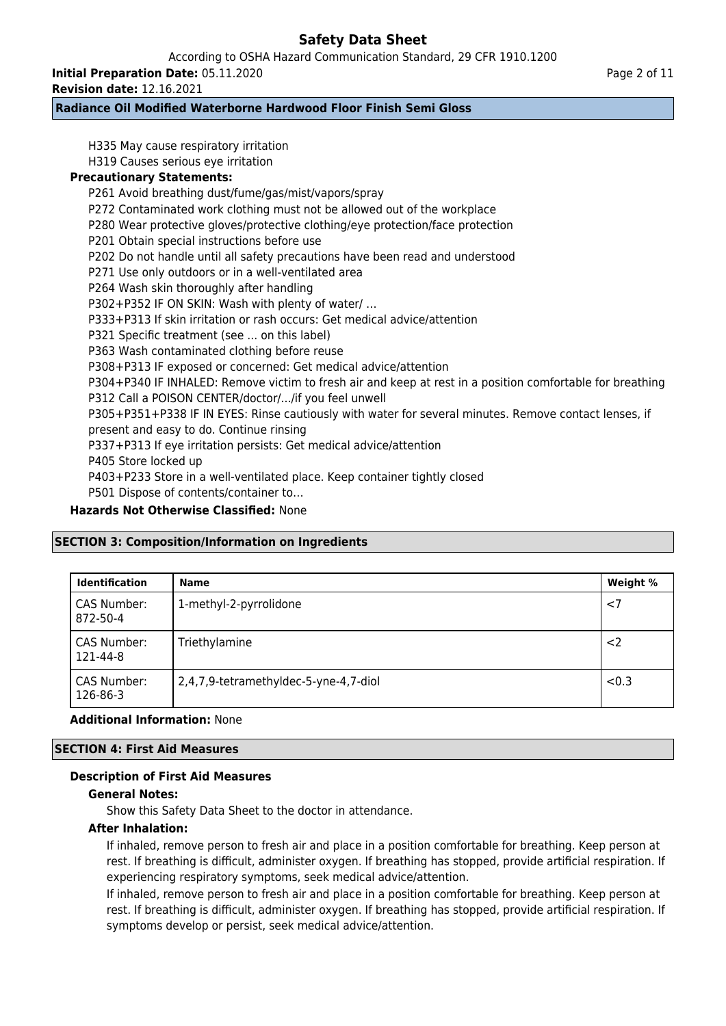According to OSHA Hazard Communication Standard, 29 CFR 1910.1200

**Initial Preparation Date:** 05.11.2020

**Revision date:** 12.16.2021

# **Radiance Oil Modified Waterborne Hardwood Floor Finish Semi Gloss**

H335 May cause respiratory irritation H319 Causes serious eye irritation **Precautionary Statements:** P261 Avoid breathing dust/fume/gas/mist/vapors/spray P272 Contaminated work clothing must not be allowed out of the workplace P280 Wear protective gloves/protective clothing/eye protection/face protection P201 Obtain special instructions before use P202 Do not handle until all safety precautions have been read and understood P271 Use only outdoors or in a well-ventilated area P264 Wash skin thoroughly after handling P302+P352 IF ON SKIN: Wash with plenty of water/ … P333+P313 If skin irritation or rash occurs: Get medical advice/attention P321 Specific treatment (see ... on this label) P363 Wash contaminated clothing before reuse P308+P313 IF exposed or concerned: Get medical advice/attention P304+P340 IF INHALED: Remove victim to fresh air and keep at rest in a position comfortable for breathing P312 Call a POISON CENTER/doctor/.../if you feel unwell P305+P351+P338 IF IN EYES: Rinse cautiously with water for several minutes. Remove contact lenses, if present and easy to do. Continue rinsing P337+P313 If eye irritation persists: Get medical advice/attention P405 Store locked up P403+P233 Store in a well-ventilated place. Keep container tightly closed P501 Dispose of contents/container to… **Hazards Not Otherwise Classified:** None

# **SECTION 3: Composition/Information on Ingredients**

| <b>Identification</b>   | <b>Name</b>                           | Weight % |
|-------------------------|---------------------------------------|----------|
| CAS Number:<br>872-50-4 | 1-methyl-2-pyrrolidone                | < 7      |
| CAS Number:<br>121-44-8 | Triethylamine                         | $<$ 2    |
| CAS Number:<br>126-86-3 | 2,4,7,9-tetramethyldec-5-yne-4,7-diol | < 0.3    |

# **Additional Information:** None

# **SECTION 4: First Aid Measures**

# **Description of First Aid Measures**

# **General Notes:**

Show this Safety Data Sheet to the doctor in attendance.

# **After Inhalation:**

If inhaled, remove person to fresh air and place in a position comfortable for breathing. Keep person at rest. If breathing is difficult, administer oxygen. If breathing has stopped, provide artificial respiration. If experiencing respiratory symptoms, seek medical advice/attention.

If inhaled, remove person to fresh air and place in a position comfortable for breathing. Keep person at rest. If breathing is difficult, administer oxygen. If breathing has stopped, provide artificial respiration. If symptoms develop or persist, seek medical advice/attention.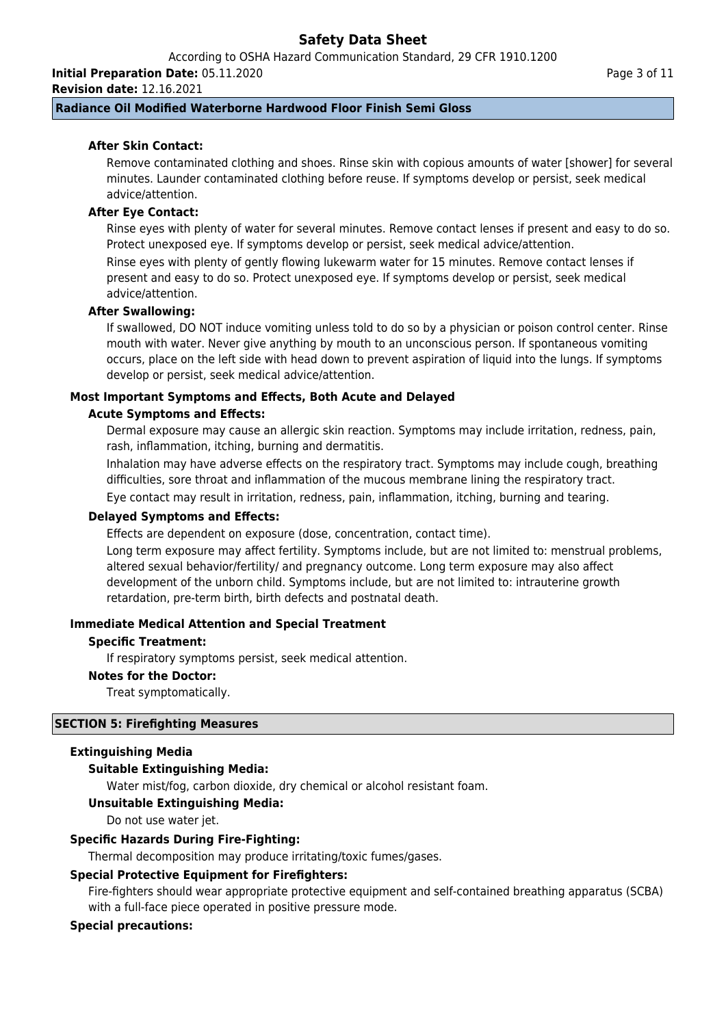According to OSHA Hazard Communication Standard, 29 CFR 1910.1200

**Initial Preparation Date:** 05.11.2020

**Revision date:** 12.16.2021

### **Radiance Oil Modified Waterborne Hardwood Floor Finish Semi Gloss**

# **After Skin Contact:**

Remove contaminated clothing and shoes. Rinse skin with copious amounts of water [shower] for several minutes. Launder contaminated clothing before reuse. If symptoms develop or persist, seek medical advice/attention.

### **After Eye Contact:**

Rinse eyes with plenty of water for several minutes. Remove contact lenses if present and easy to do so. Protect unexposed eye. If symptoms develop or persist, seek medical advice/attention.

Rinse eyes with plenty of gently flowing lukewarm water for 15 minutes. Remove contact lenses if present and easy to do so. Protect unexposed eye. If symptoms develop or persist, seek medical advice/attention.

#### **After Swallowing:**

If swallowed, DO NOT induce vomiting unless told to do so by a physician or poison control center. Rinse mouth with water. Never give anything by mouth to an unconscious person. If spontaneous vomiting occurs, place on the left side with head down to prevent aspiration of liquid into the lungs. If symptoms develop or persist, seek medical advice/attention.

#### **Most Important Symptoms and Effects, Both Acute and Delayed**

#### **Acute Symptoms and Effects:**

Dermal exposure may cause an allergic skin reaction. Symptoms may include irritation, redness, pain, rash, inflammation, itching, burning and dermatitis.

Inhalation may have adverse effects on the respiratory tract. Symptoms may include cough, breathing difficulties, sore throat and inflammation of the mucous membrane lining the respiratory tract. Eye contact may result in irritation, redness, pain, inflammation, itching, burning and tearing.

#### **Delayed Symptoms and Effects:**

Effects are dependent on exposure (dose, concentration, contact time).

Long term exposure may affect fertility. Symptoms include, but are not limited to: menstrual problems, altered sexual behavior/fertility/ and pregnancy outcome. Long term exposure may also affect development of the unborn child. Symptoms include, but are not limited to: intrauterine growth retardation, pre-term birth, birth defects and postnatal death.

#### **Immediate Medical Attention and Special Treatment**

#### **Specific Treatment:**

If respiratory symptoms persist, seek medical attention.

#### **Notes for the Doctor:**

Treat symptomatically.

#### **SECTION 5: Firefighting Measures**

### **Extinguishing Media**

# **Suitable Extinguishing Media:**

Water mist/fog, carbon dioxide, dry chemical or alcohol resistant foam.

#### **Unsuitable Extinguishing Media:**

Do not use water jet.

#### **Specific Hazards During Fire-Fighting:**

Thermal decomposition may produce irritating/toxic fumes/gases.

# **Special Protective Equipment for Firefighters:**

Fire-fighters should wear appropriate protective equipment and self-contained breathing apparatus (SCBA) with a full-face piece operated in positive pressure mode.

# **Special precautions:**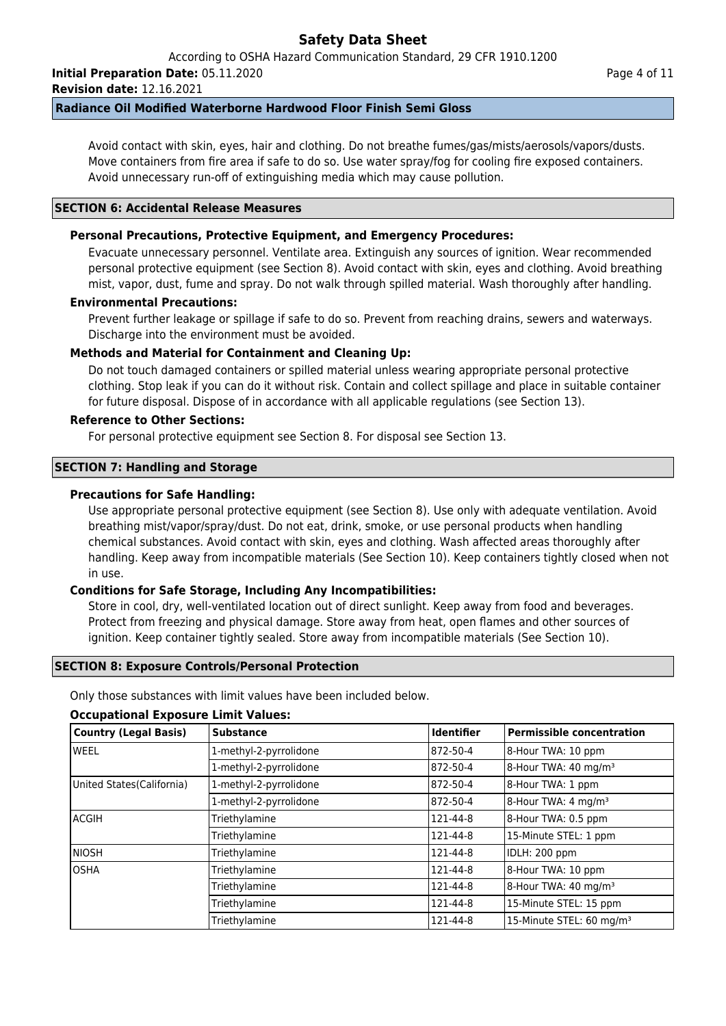According to OSHA Hazard Communication Standard, 29 CFR 1910.1200

**Initial Preparation Date:** 05.11.2020

**Revision date:** 12.16.2021

# **Radiance Oil Modified Waterborne Hardwood Floor Finish Semi Gloss**

Avoid contact with skin, eyes, hair and clothing. Do not breathe fumes/gas/mists/aerosols/vapors/dusts. Move containers from fire area if safe to do so. Use water spray/fog for cooling fire exposed containers. Avoid unnecessary run-off of extinguishing media which may cause pollution.

# **SECTION 6: Accidental Release Measures**

# **Personal Precautions, Protective Equipment, and Emergency Procedures:**

Evacuate unnecessary personnel. Ventilate area. Extinguish any sources of ignition. Wear recommended personal protective equipment (see Section 8). Avoid contact with skin, eyes and clothing. Avoid breathing mist, vapor, dust, fume and spray. Do not walk through spilled material. Wash thoroughly after handling.

# **Environmental Precautions:**

Prevent further leakage or spillage if safe to do so. Prevent from reaching drains, sewers and waterways. Discharge into the environment must be avoided.

# **Methods and Material for Containment and Cleaning Up:**

Do not touch damaged containers or spilled material unless wearing appropriate personal protective clothing. Stop leak if you can do it without risk. Contain and collect spillage and place in suitable container for future disposal. Dispose of in accordance with all applicable regulations (see Section 13).

# **Reference to Other Sections:**

For personal protective equipment see Section 8. For disposal see Section 13.

# **SECTION 7: Handling and Storage**

#### **Precautions for Safe Handling:**

Use appropriate personal protective equipment (see Section 8). Use only with adequate ventilation. Avoid breathing mist/vapor/spray/dust. Do not eat, drink, smoke, or use personal products when handling chemical substances. Avoid contact with skin, eyes and clothing. Wash affected areas thoroughly after handling. Keep away from incompatible materials (See Section 10). Keep containers tightly closed when not in use.

# **Conditions for Safe Storage, Including Any Incompatibilities:**

Store in cool, dry, well-ventilated location out of direct sunlight. Keep away from food and beverages. Protect from freezing and physical damage. Store away from heat, open flames and other sources of ignition. Keep container tightly sealed. Store away from incompatible materials (See Section 10).

#### **SECTION 8: Exposure Controls/Personal Protection**

Only those substances with limit values have been included below.

# **Country (Legal Basis) Substance Identifier Permissible concentration** WEEL **1-methyl-2-pyrrolidone** 872-50-4 8-Hour TWA: 10 ppm 1-methyl-2-pyrrolidone  $\begin{vmatrix} 872-50-4 \end{vmatrix}$  8-Hour TWA: 40 mg/m<sup>3</sup> United States(California) 1-methyl-2-pyrrolidone 872-50-4 8-Hour TWA: 1 ppm 1-methyl-2-pyrrolidone  $\begin{array}{ccc} \text{372-50-4} & \text{8-Hour TWA: 4 mg/m³} \end{array}$ ACGIH Triethylamine 121-44-8 8-Hour TWA: 0.5 ppm Triethylamine 121-44-8 121-44-8 15-Minute STEL: 1 ppm NIOSH Triethylamine 121-44-8 IDLH: 200 ppm OSHA Triethylamine 121-44-8 8-Hour TWA: 10 ppm Triethylamine  $\vert$  121-44-8  $\vert$  8-Hour TWA: 40 mg/m<sup>3</sup> Triethylamine 121-44-8 121-44-8 15-Minute STEL: 15 ppm Triethylamine  $\vert$  121-44-8  $\vert$  15-Minute STEL: 60 mg/m<sup>3</sup>

# **Occupational Exposure Limit Values:**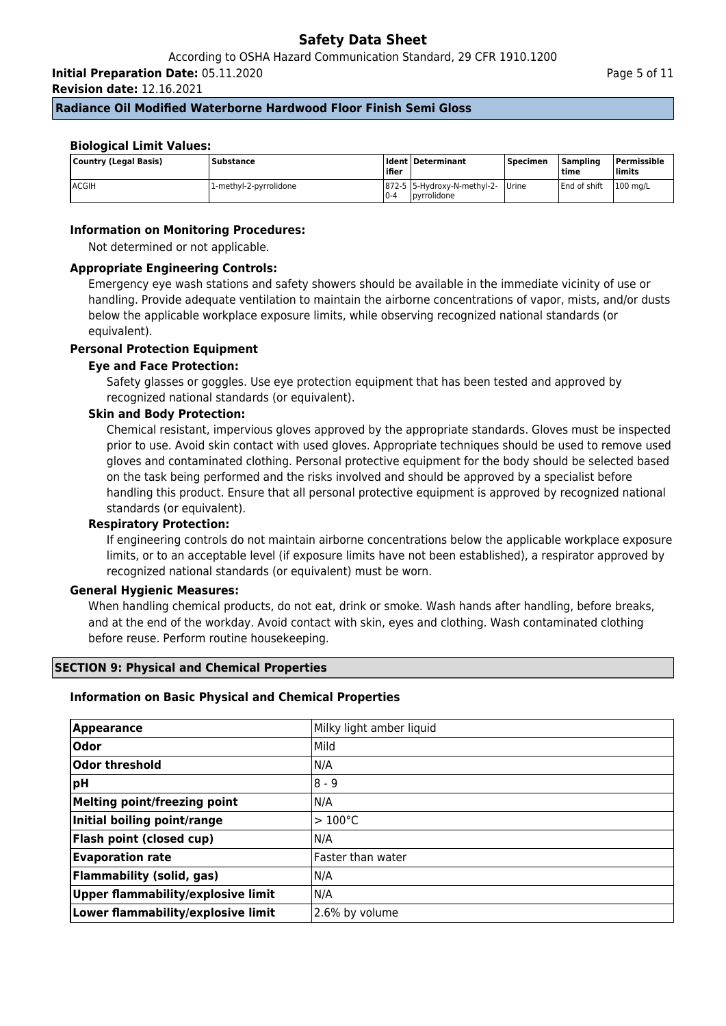**Initial Preparation Date:** 05.11.2020

**Revision date:** 12.16.2021

# **Radiance Oil Modified Waterborne Hardwood Floor Finish Semi Gloss**

# **Biological Limit Values:**

| Country (Legal Basis) | <b>Substance</b>       | l ifier | <b>Ident Determinant</b>                                  | Specimen | <b>Sampling</b><br>l time | <b>Permissible</b><br>limits |
|-----------------------|------------------------|---------|-----------------------------------------------------------|----------|---------------------------|------------------------------|
| IACGIH                | 1-methyl-2-pyrrolidone | $0 - 4$ | 872-5 5-Hydroxy-N-methyl-2- Urine<br><b>l</b> pyrrolidone |          | End of shift              | $100$ mg/L                   |

# **Information on Monitoring Procedures:**

Not determined or not applicable.

# **Appropriate Engineering Controls:**

Emergency eye wash stations and safety showers should be available in the immediate vicinity of use or handling. Provide adequate ventilation to maintain the airborne concentrations of vapor, mists, and/or dusts below the applicable workplace exposure limits, while observing recognized national standards (or equivalent).

# **Personal Protection Equipment**

# **Eye and Face Protection:**

Safety glasses or goggles. Use eye protection equipment that has been tested and approved by recognized national standards (or equivalent).

# **Skin and Body Protection:**

Chemical resistant, impervious gloves approved by the appropriate standards. Gloves must be inspected prior to use. Avoid skin contact with used gloves. Appropriate techniques should be used to remove used gloves and contaminated clothing. Personal protective equipment for the body should be selected based on the task being performed and the risks involved and should be approved by a specialist before handling this product. Ensure that all personal protective equipment is approved by recognized national standards (or equivalent).

# **Respiratory Protection:**

If engineering controls do not maintain airborne concentrations below the applicable workplace exposure limits, or to an acceptable level (if exposure limits have not been established), a respirator approved by recognized national standards (or equivalent) must be worn.

# **General Hygienic Measures:**

When handling chemical products, do not eat, drink or smoke. Wash hands after handling, before breaks, and at the end of the workday. Avoid contact with skin, eyes and clothing. Wash contaminated clothing before reuse. Perform routine housekeeping.

# **SECTION 9: Physical and Chemical Properties**

#### **Information on Basic Physical and Chemical Properties**

| Appearance                         | Milky light amber liquid |
|------------------------------------|--------------------------|
| Odor                               | Mild                     |
| Odor threshold                     | N/A                      |
| ∣pH                                | $8 - 9$                  |
| Melting point/freezing point       | N/A                      |
| Initial boiling point/range        | $>100^{\circ}$ C         |
| <b>Flash point (closed cup)</b>    | N/A                      |
| <b>Evaporation rate</b>            | lFaster than water       |
| <b>Flammability (solid, gas)</b>   | N/A                      |
| Upper flammability/explosive limit | N/A                      |
| Lower flammability/explosive limit | 2.6% by volume           |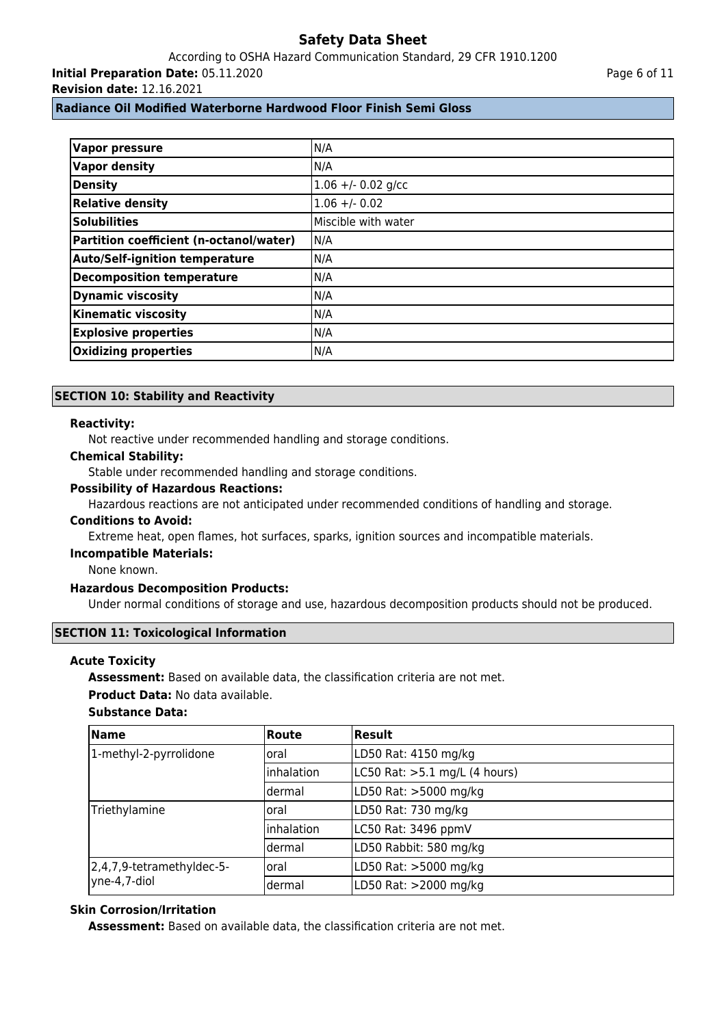According to OSHA Hazard Communication Standard, 29 CFR 1910.1200 **Initial Preparation Date:** 05.11.2020

**Revision date:** 12.16.2021

# **Radiance Oil Modified Waterborne Hardwood Floor Finish Semi Gloss**

| <b>Vapor pressure</b>                   | N/A                 |
|-----------------------------------------|---------------------|
| <b>Vapor density</b>                    | N/A                 |
| <b>Density</b>                          | $1.06 + -0.02$ g/cc |
| <b>Relative density</b>                 | $1.06 + - 0.02$     |
| <b>Solubilities</b>                     | Miscible with water |
| Partition coefficient (n-octanol/water) | N/A                 |
| <b>Auto/Self-ignition temperature</b>   | N/A                 |
| <b>Decomposition temperature</b>        | N/A                 |
| <b>Dynamic viscosity</b>                | N/A                 |
| <b>Kinematic viscosity</b>              | N/A                 |
| <b>Explosive properties</b>             | N/A                 |
| <b>Oxidizing properties</b>             | N/A                 |

### **SECTION 10: Stability and Reactivity**

#### **Reactivity:**

Not reactive under recommended handling and storage conditions.

# **Chemical Stability:**

Stable under recommended handling and storage conditions.

## **Possibility of Hazardous Reactions:**

Hazardous reactions are not anticipated under recommended conditions of handling and storage.

#### **Conditions to Avoid:**

Extreme heat, open flames, hot surfaces, sparks, ignition sources and incompatible materials.

#### **Incompatible Materials:**

None known.

#### **Hazardous Decomposition Products:**

Under normal conditions of storage and use, hazardous decomposition products should not be produced.

### **SECTION 11: Toxicological Information**

#### **Acute Toxicity**

**Assessment:** Based on available data, the classification criteria are not met.

#### **Product Data:** No data available.

# **Substance Data:**

| <b>Name</b>                               | Route             | Result                        |
|-------------------------------------------|-------------------|-------------------------------|
| 1-methyl-2-pyrrolidone                    | loral             | LD50 Rat: 4150 mg/kg          |
|                                           | Inhalation        | LC50 Rat: >5.1 mg/L (4 hours) |
|                                           | ldermal           | LD50 Rat: >5000 mg/kg         |
| Triethylamine                             | loral             | LD50 Rat: 730 mg/kg           |
|                                           | <i>inhalation</i> | LC50 Rat: 3496 ppmV           |
|                                           | ldermal           | LD50 Rabbit: 580 mg/kg        |
| 2,4,7,9-tetramethyldec-5-<br>yne-4,7-diol | Ioral             | LD50 Rat: >5000 mg/kg         |
|                                           | dermal            | LD50 Rat: >2000 mg/kg         |

### **Skin Corrosion/Irritation**

**Assessment:** Based on available data, the classification criteria are not met.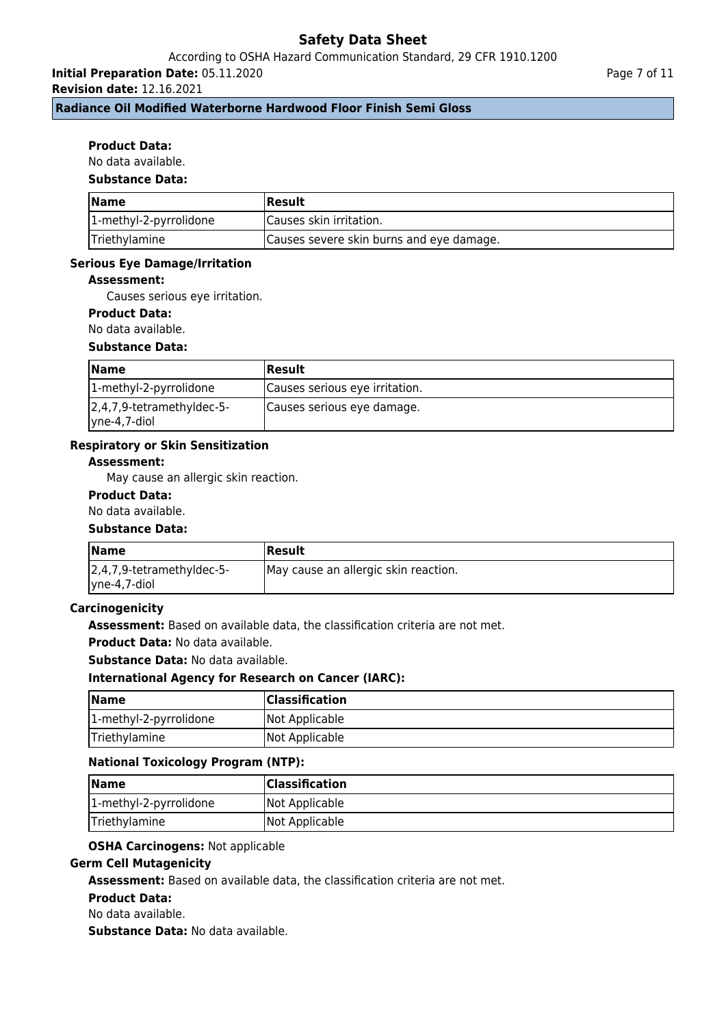# According to OSHA Hazard Communication Standard, 29 CFR 1910.1200

**Initial Preparation Date:** 05.11.2020

**Revision date:** 12.16.2021

**Radiance Oil Modified Waterborne Hardwood Floor Finish Semi Gloss**

### **Product Data:**

No data available.

# **Substance Data:**

| <b>Name</b>            | <b>Result</b>                            |
|------------------------|------------------------------------------|
| 1-methyl-2-pyrrolidone | Causes skin irritation.                  |
| Triethylamine          | Causes severe skin burns and eye damage. |

#### **Serious Eye Damage/Irritation**

### **Assessment:**

Causes serious eye irritation.

# **Product Data:**

No data available.

#### **Substance Data:**

| <b>Name</b>                                       | Result                         |
|---------------------------------------------------|--------------------------------|
| 1-methyl-2-pyrrolidone                            | Causes serious eye irritation. |
| $ 2,4,7,9$ -tetramethyldec-5-<br>$ $ yne-4,7-diol | Causes serious eye damage.     |

#### **Respiratory or Skin Sensitization**

### **Assessment:**

May cause an allergic skin reaction.

#### **Product Data:**

### No data available.

#### **Substance Data:**

| <b>Name</b>                   | Result                               |
|-------------------------------|--------------------------------------|
| $ 2,4,7,9$ -tetramethyldec-5- | May cause an allergic skin reaction. |
| $ $ yne-4,7-diol              |                                      |

#### **Carcinogenicity**

**Assessment:** Based on available data, the classification criteria are not met.

**Product Data:** No data available.

**Substance Data:** No data available.

#### **International Agency for Research on Cancer (IARC):**

| Name                   | <b>Classification</b> |
|------------------------|-----------------------|
| 1-methyl-2-pyrrolidone | Not Applicable        |
| Triethylamine          | Not Applicable        |

#### **National Toxicology Program (NTP):**

| <b>Name</b>            | <b>Classification</b> |
|------------------------|-----------------------|
| 1-methyl-2-pyrrolidone | Not Applicable        |
| Triethylamine          | Not Applicable        |

# **OSHA Carcinogens:** Not applicable

### **Germ Cell Mutagenicity**

**Assessment:** Based on available data, the classification criteria are not met.

#### **Product Data:**

No data available.

**Substance Data:** No data available.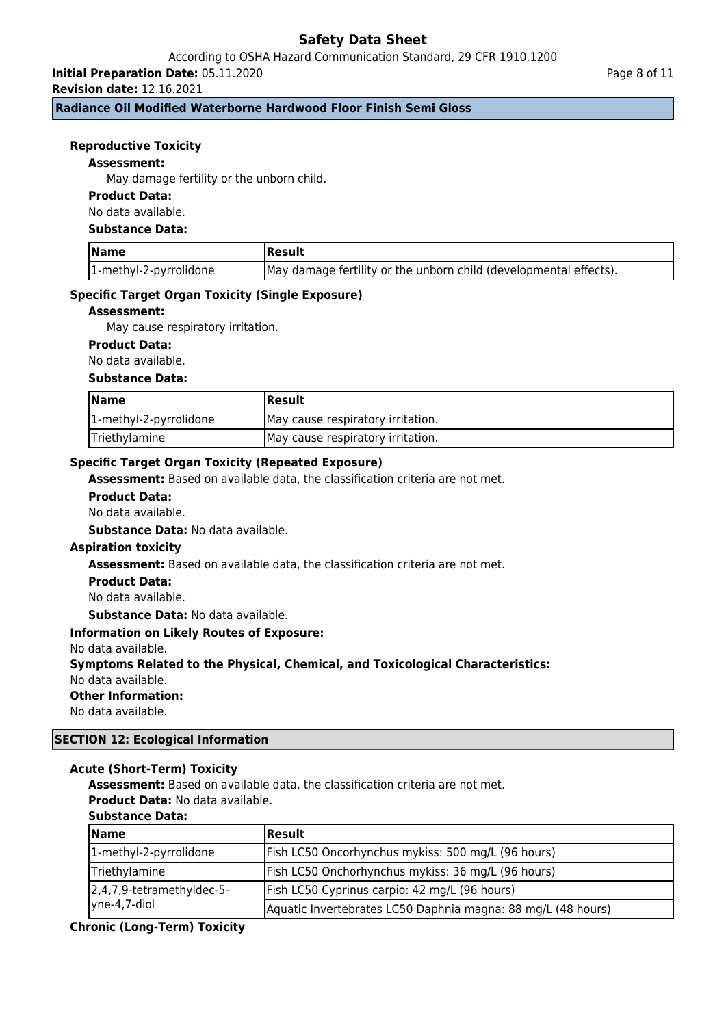# According to OSHA Hazard Communication Standard, 29 CFR 1910.1200

**Initial Preparation Date:** 05.11.2020 **Revision date:** 12.16.2021

**Radiance Oil Modified Waterborne Hardwood Floor Finish Semi Gloss**

### **Reproductive Toxicity**

#### **Assessment:**

May damage fertility or the unborn child.

### **Product Data:**

No data available.

#### **Substance Data:**

| <b>Name</b>            | Result                                                            |
|------------------------|-------------------------------------------------------------------|
| 1-methyl-2-pyrrolidone | May damage fertility or the unborn child (developmental effects). |

#### **Specific Target Organ Toxicity (Single Exposure)**

#### **Assessment:**

May cause respiratory irritation.

#### **Product Data:**

No data available.

#### **Substance Data:**

| <b>Name</b>            | <b>Result</b>                     |
|------------------------|-----------------------------------|
| 1-methyl-2-pyrrolidone | May cause respiratory irritation. |
| Triethylamine          | May cause respiratory irritation. |

# **Specific Target Organ Toxicity (Repeated Exposure)**

**Assessment:** Based on available data, the classification criteria are not met.

#### **Product Data:**

No data available.

**Substance Data:** No data available.

#### **Aspiration toxicity**

**Assessment:** Based on available data, the classification criteria are not met.

#### **Product Data:**

No data available.

**Substance Data:** No data available.

#### **Information on Likely Routes of Exposure:**

No data available.

#### **Symptoms Related to the Physical, Chemical, and Toxicological Characteristics:**

No data available.

#### **Other Information:**

No data available.

# **SECTION 12: Ecological Information**

#### **Acute (Short-Term) Toxicity**

**Assessment:** Based on available data, the classification criteria are not met.

**Product Data:** No data available.

#### **Substance Data:**

| <b>Name</b>               | Result                                                       |
|---------------------------|--------------------------------------------------------------|
| 1-methyl-2-pyrrolidone    | Fish LC50 Oncorhynchus mykiss: 500 mg/L (96 hours)           |
| Triethylamine             | Fish LC50 Onchorhynchus mykiss: 36 mg/L (96 hours)           |
| 2,4,7,9-tetramethyldec-5- | Fish LC50 Cyprinus carpio: 42 mg/L (96 hours)                |
| $ $ yne-4,7-diol          | Aquatic Invertebrates LC50 Daphnia magna: 88 mg/L (48 hours) |

#### **Chronic (Long-Term) Toxicity**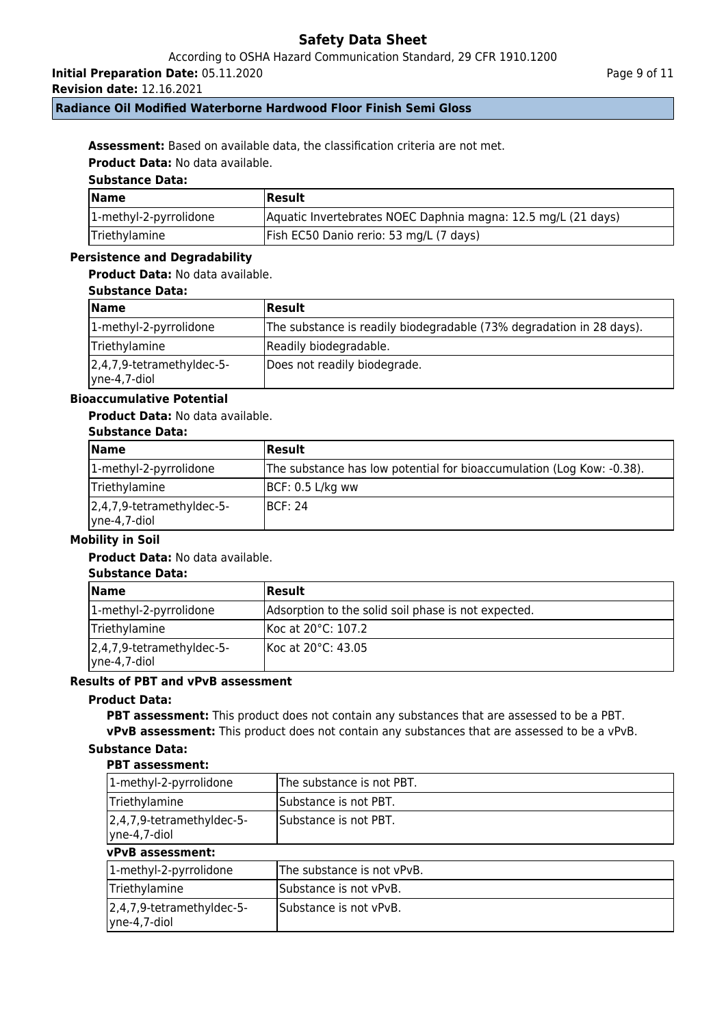According to OSHA Hazard Communication Standard, 29 CFR 1910.1200

**Initial Preparation Date:** 05.11.2020

**Revision date:** 12.16.2021

# **Radiance Oil Modified Waterborne Hardwood Floor Finish Semi Gloss**

**Assessment:** Based on available data, the classification criteria are not met.

**Product Data:** No data available.

# **Substance Data:**

| <b>Name</b>            | Result                                                        |
|------------------------|---------------------------------------------------------------|
| 1-methyl-2-pyrrolidone | Aquatic Invertebrates NOEC Daphnia magna: 12.5 mg/L (21 days) |
| Triethylamine          | Fish EC50 Danio rerio: 53 mg/L (7 days)                       |

## **Persistence and Degradability**

# **Product Data:** No data available.

| <b>Substance Data:</b> |  |
|------------------------|--|
|------------------------|--|

| <b>Name</b>                                       | <b>Result</b>                                                        |
|---------------------------------------------------|----------------------------------------------------------------------|
| 1-methyl-2-pyrrolidone                            | The substance is readily biodegradable (73% degradation in 28 days). |
| Triethylamine                                     | Readily biodegradable.                                               |
| $ 2,4,7,9$ -tetramethyldec-5-<br>$ $ yne-4,7-diol | Does not readily biodegrade.                                         |

# **Bioaccumulative Potential**

### **Product Data:** No data available.

#### **Substance Data:**

| Name                                       | Result                                                                |
|--------------------------------------------|-----------------------------------------------------------------------|
| 1-methyl-2-pyrrolidone                     | The substance has low potential for bioaccumulation (Log Kow: -0.38). |
| Triethylamine                              | $\overline{BCF}$ : 0.5 L/kg ww                                        |
| 2,4,7,9-tetramethyldec-5-<br> yne-4,7-diol | IBCF: 24                                                              |

## **Mobility in Soil**

# **Product Data:** No data available.

# **Substance Data:**

| <b>Name</b>                                | Result                                              |
|--------------------------------------------|-----------------------------------------------------|
| 1-methyl-2-pyrrolidone                     | Adsorption to the solid soil phase is not expected. |
| Triethylamine                              | Koc at 20°C: 107.2                                  |
| 2,4,7,9-tetramethyldec-5-<br> yne-4,7-diol | IKoc at 20°C: 43.05                                 |

# **Results of PBT and vPvB assessment**

#### **Product Data:**

**PBT assessment:** This product does not contain any substances that are assessed to be a PBT. **vPvB assessment:** This product does not contain any substances that are assessed to be a vPvB.

# **Substance Data:**

# **PBT assessment:**

| 1-methyl-2-pyrrolidone                                        | The substance is not PBT.  |
|---------------------------------------------------------------|----------------------------|
| Triethylamine                                                 | Substance is not PBT.      |
| 2,4,7,9-tetramethyldec-5-<br>$ $ yne-4,7-diol                 | Substance is not PBT.      |
| vPvB assessment:                                              |                            |
| 1-methyl-2-pyrrolidone                                        | The substance is not vPvB. |
| Triethylamine                                                 | Substance is not vPvB.     |
| $\left 2,4,7,9\right $ -tetramethyldec-5-<br>$ $ yne-4,7-diol | Substance is not vPvB.     |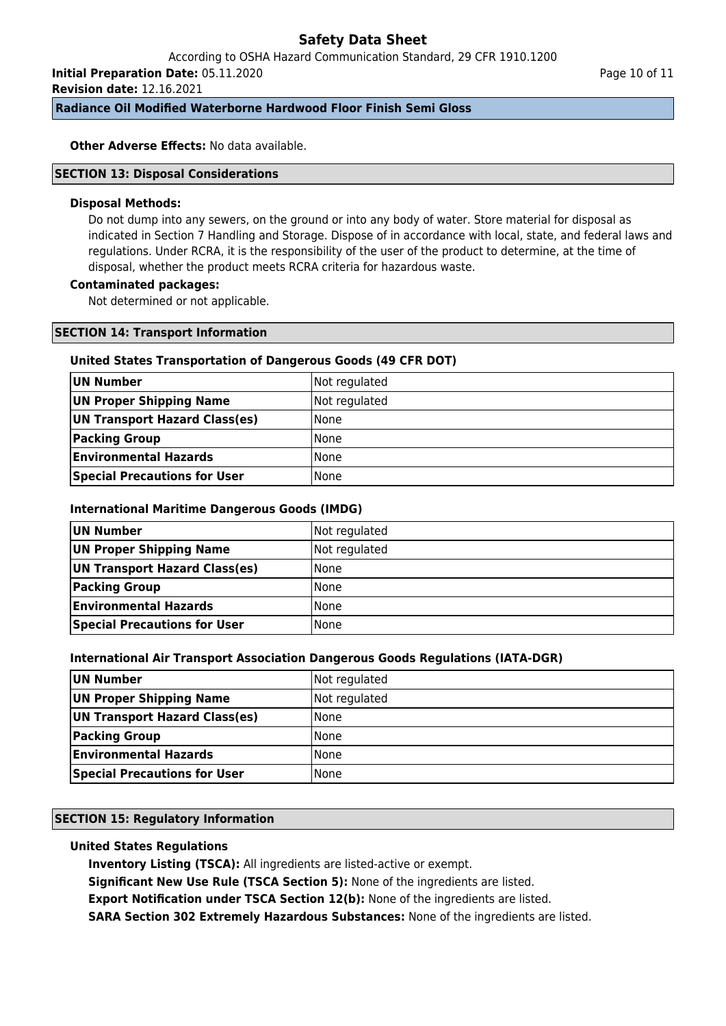According to OSHA Hazard Communication Standard, 29 CFR 1910.1200

**Initial Preparation Date:** 05.11.2020

**Revision date:** 12.16.2021

Page 10 of 11

**Radiance Oil Modified Waterborne Hardwood Floor Finish Semi Gloss**

**Other Adverse Effects: No data available.** 

### **SECTION 13: Disposal Considerations**

#### **Disposal Methods:**

Do not dump into any sewers, on the ground or into any body of water. Store material for disposal as indicated in Section 7 Handling and Storage. Dispose of in accordance with local, state, and federal laws and regulations. Under RCRA, it is the responsibility of the user of the product to determine, at the time of disposal, whether the product meets RCRA criteria for hazardous waste.

### **Contaminated packages:**

Not determined or not applicable.

#### **SECTION 14: Transport Information**

#### **United States Transportation of Dangerous Goods (49 CFR DOT)**

| UN Number                           | Not regulated |
|-------------------------------------|---------------|
| UN Proper Shipping Name             | Not regulated |
| UN Transport Hazard Class(es)       | l None        |
| <b>Packing Group</b>                | l None        |
| <b>Environmental Hazards</b>        | None          |
| <b>Special Precautions for User</b> | None          |

#### **International Maritime Dangerous Goods (IMDG)**

| UN Number                           | Not regulated |
|-------------------------------------|---------------|
| UN Proper Shipping Name             | Not regulated |
| UN Transport Hazard Class(es)       | None          |
| <b>Packing Group</b>                | None          |
| <b>Environmental Hazards</b>        | <b>None</b>   |
| <b>Special Precautions for User</b> | <b>None</b>   |

# **International Air Transport Association Dangerous Goods Regulations (IATA-DGR)**

| UN Number                           | Not regulated |
|-------------------------------------|---------------|
| UN Proper Shipping Name             | Not regulated |
| UN Transport Hazard Class(es)       | l None        |
| <b>Packing Group</b>                | l None        |
| <b>Environmental Hazards</b>        | None          |
| <b>Special Precautions for User</b> | None          |

# **SECTION 15: Regulatory Information**

# **United States Regulations**

**Inventory Listing (TSCA):** All ingredients are listed-active or exempt.

**Significant New Use Rule (TSCA Section 5):** None of the ingredients are listed.

**Export Notification under TSCA Section 12(b):** None of the ingredients are listed.

**SARA Section 302 Extremely Hazardous Substances:** None of the ingredients are listed.